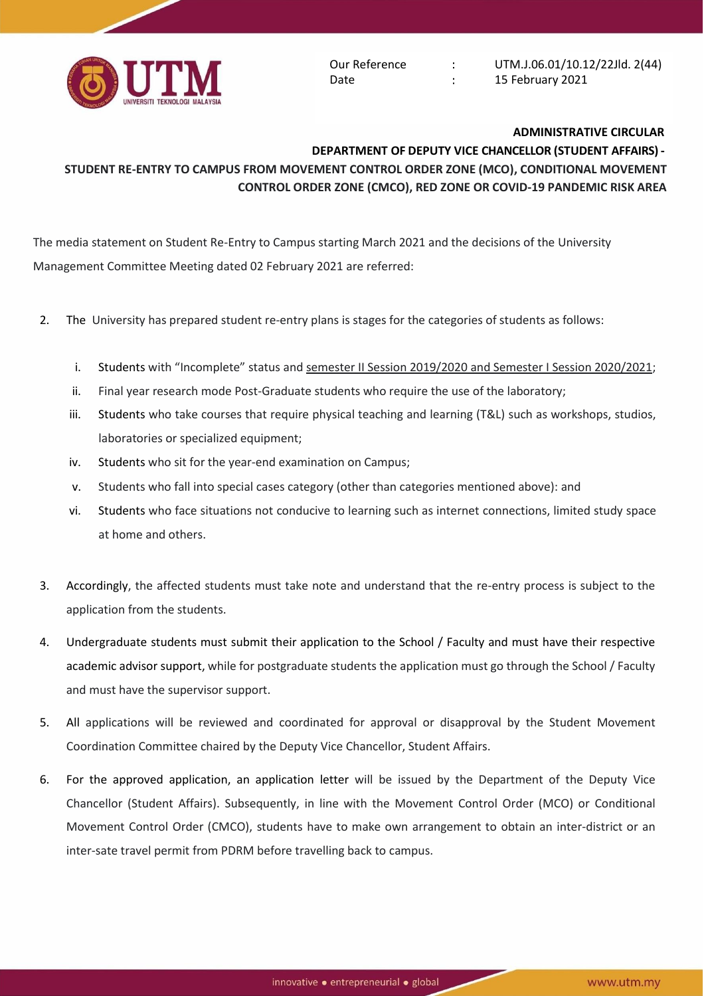

Our Reference Date

 $\frac{1}{2}$  $\mathcal{I}^{\mathcal{I}}$  . UTM.J.06.01/10.12/22Jld. 2(44) 15 February 2021

## **ADMINISTRATIVE CIRCULAR**

## **DEPARTMENT OF DEPUTY VICE CHANCELLOR (STUDENT AFFAIRS) - STUDENT RE-ENTRY TO CAMPUS FROM MOVEMENT CONTROL ORDER ZONE (MCO), CONDITIONAL MOVEMENT CONTROL ORDER ZONE (CMCO), RED ZONE OR COVID-19 PANDEMIC RISK AREA**

The media statement on Student Re-Entry to Campus starting March 2021 and the decisions of the University Management Committee Meeting dated 02 February 2021 are referred:

- 2. The University has prepared student re-entry plans is stages for the categories of students as follows:
	- i. Students with "Incomplete" status and semester II Session 2019/2020 and Semester I Session 2020/2021;
	- ii. Final year research mode Post-Graduate students who require the use of the laboratory;
	- iii. Students who take courses that require physical teaching and learning (T&L) such as workshops, studios, laboratories or specialized equipment;
	- iv. Students who sit for the year-end examination on Campus;
	- v. Students who fall into special cases category (other than categories mentioned above): and
	- vi. Students who face situations not conducive to learning such as internet connections, limited study space at home and others.
- 3. Accordingly, the affected students must take note and understand that the re-entry process is subject to the application from the students.
- 4. Undergraduate students must submit their application to the School / Faculty and must have their respective academic advisor support, while for postgraduate students the application must go through the School / Faculty and must have the supervisor support.
- 5. All applications will be reviewed and coordinated for approval or disapproval by the Student Movement Coordination Committee chaired by the Deputy Vice Chancellor, Student Affairs.
- 6. For the approved application, an application letter will be issued by the Department of the Deputy Vice Chancellor (Student Affairs). Subsequently, in line with the Movement Control Order (MCO) or Conditional Movement Control Order (CMCO), students have to make own arrangement to obtain an inter-district or an inter-sate travel permit from PDRM before travelling back to campus.